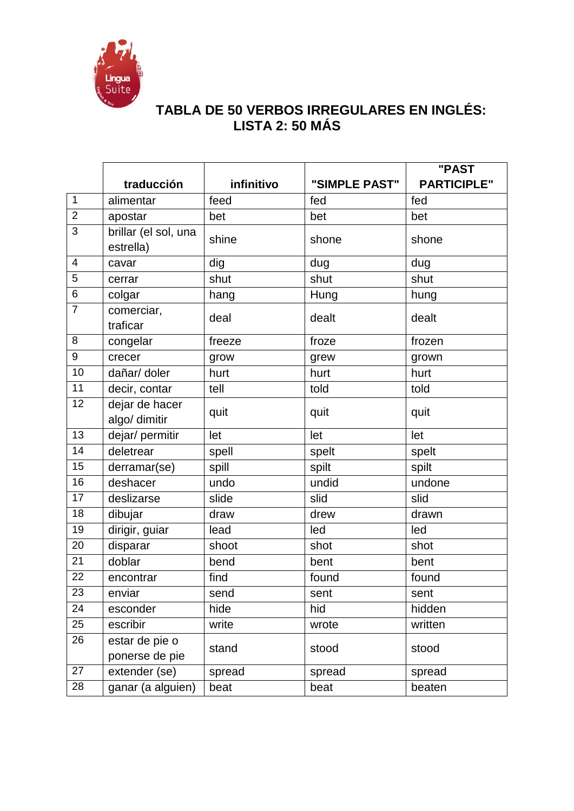

## **TABLA DE 50 VERBOS IRREGULARES EN INGLÉS: LISTA 2: 50 MÁS**

|                |                                   |            |               | "PAST              |
|----------------|-----------------------------------|------------|---------------|--------------------|
|                | traducción                        | infinitivo | "SIMPLE PAST" | <b>PARTICIPLE"</b> |
| $\mathbf{1}$   | alimentar                         | feed       | fed           | fed                |
| $\overline{2}$ | apostar                           | bet        | bet           | bet                |
| 3              | brillar (el sol, una<br>estrella) | shine      | shone         | shone              |
| 4              | cavar                             | dig        | dug           | dug                |
| 5              | cerrar                            | shut       | shut          | shut               |
| 6              | colgar                            | hang       | Hung          | hung               |
| $\overline{7}$ | comerciar,<br>traficar            | deal       | dealt         | dealt              |
| 8              | congelar                          | freeze     | froze         | frozen             |
| 9              | crecer                            | grow       | grew          | grown              |
| 10             | dañar/ doler                      | hurt       | hurt          | hurt               |
| 11             | decir, contar                     | tell       | told          | told               |
| 12             | dejar de hacer<br>algo/ dimitir   | quit       | quit          | quit               |
| 13             | dejar/ permitir                   | let        | let           | let                |
| 14             | deletrear                         | spell      | spelt         | spelt              |
| 15             | derramar(se)                      | spill      | spilt         | spilt              |
| 16             | deshacer                          | undo       | undid         | undone             |
| 17             | deslizarse                        | slide      | slid          | slid               |
| 18             | dibujar                           | draw       | drew          | drawn              |
| 19             | dirigir, guiar                    | lead       | led           | led                |
| 20             | disparar                          | shoot      | shot          | shot               |
| 21             | doblar                            | bend       | bent          | bent               |
| 22             | encontrar                         | find       | found         | found              |
| 23             | enviar                            | send       | sent          | sent               |
| 24             | esconder                          | hide       | hid           | hidden             |
| 25             | escribir                          | write      | wrote         | written            |
| 26             | estar de pie o<br>ponerse de pie  | stand      | stood         | stood              |
| 27             | extender (se)                     | spread     | spread        | spread             |
| 28             | ganar (a alguien)                 | beat       | beat          | beaten             |